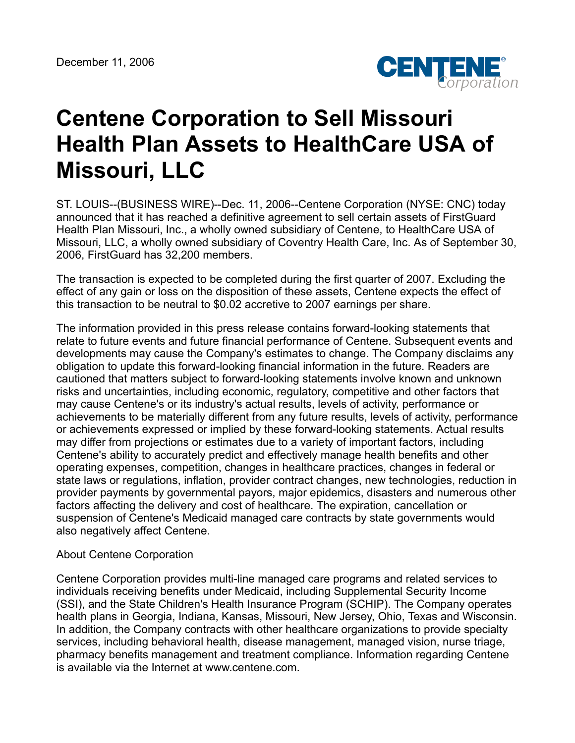

## **Centene Corporation to Sell Missouri Health Plan Assets to HealthCare USA of Missouri, LLC**

ST. LOUIS--(BUSINESS WIRE)--Dec. 11, 2006--Centene Corporation (NYSE: CNC) today announced that it has reached a definitive agreement to sell certain assets of FirstGuard Health Plan Missouri, Inc., a wholly owned subsidiary of Centene, to HealthCare USA of Missouri, LLC, a wholly owned subsidiary of Coventry Health Care, Inc. As of September 30, 2006, FirstGuard has 32,200 members.

The transaction is expected to be completed during the first quarter of 2007. Excluding the effect of any gain or loss on the disposition of these assets, Centene expects the effect of this transaction to be neutral to \$0.02 accretive to 2007 earnings per share.

The information provided in this press release contains forward-looking statements that relate to future events and future financial performance of Centene. Subsequent events and developments may cause the Company's estimates to change. The Company disclaims any obligation to update this forward-looking financial information in the future. Readers are cautioned that matters subject to forward-looking statements involve known and unknown risks and uncertainties, including economic, regulatory, competitive and other factors that may cause Centene's or its industry's actual results, levels of activity, performance or achievements to be materially different from any future results, levels of activity, performance or achievements expressed or implied by these forward-looking statements. Actual results may differ from projections or estimates due to a variety of important factors, including Centene's ability to accurately predict and effectively manage health benefits and other operating expenses, competition, changes in healthcare practices, changes in federal or state laws or regulations, inflation, provider contract changes, new technologies, reduction in provider payments by governmental payors, major epidemics, disasters and numerous other factors affecting the delivery and cost of healthcare. The expiration, cancellation or suspension of Centene's Medicaid managed care contracts by state governments would also negatively affect Centene.

## About Centene Corporation

Centene Corporation provides multi-line managed care programs and related services to individuals receiving benefits under Medicaid, including Supplemental Security Income (SSI), and the State Children's Health Insurance Program (SCHIP). The Company operates health plans in Georgia, Indiana, Kansas, Missouri, New Jersey, Ohio, Texas and Wisconsin. In addition, the Company contracts with other healthcare organizations to provide specialty services, including behavioral health, disease management, managed vision, nurse triage, pharmacy benefits management and treatment compliance. Information regarding Centene is available via the Internet at www.centene.com.